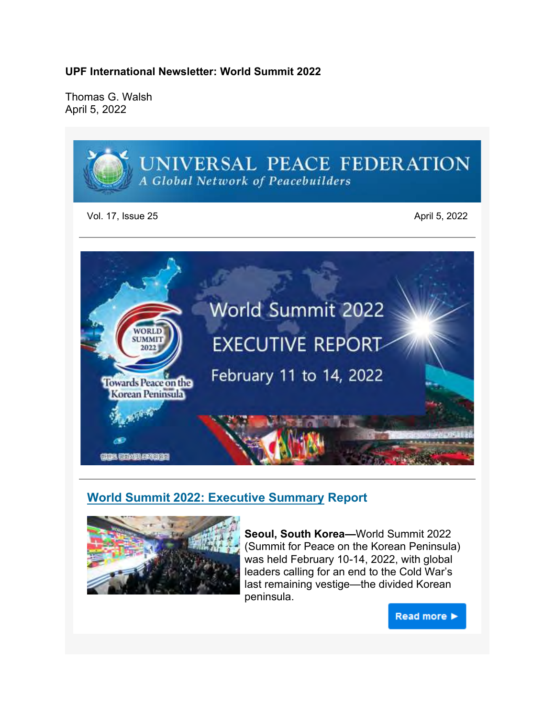**UPF International Newsletter: World Summit 2022**

Thomas G. Walsh April 5, 2022



# **World Summit 2022: Executive Summary Report**



**Seoul, South Korea—**World Summit 2022 (Summit for Peace on the Korean Peninsula) was held February 10-14, 2022, with global leaders calling for an end to the Cold War's last remaining vestige—the divided Korean peninsula.

Read more >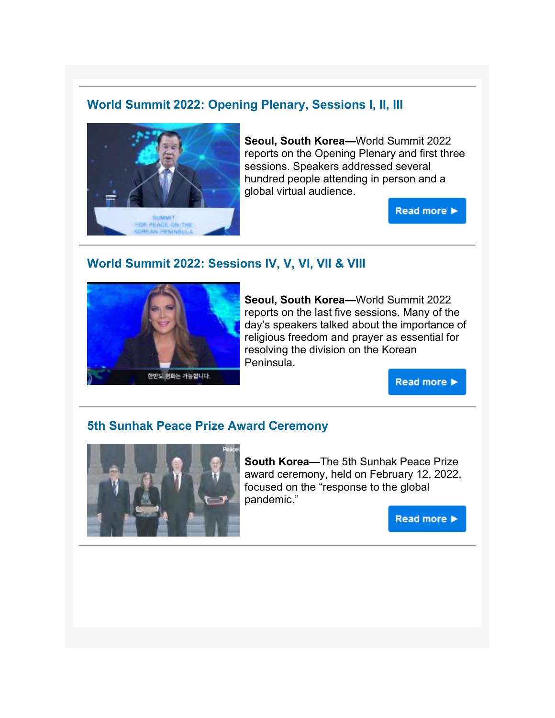## **World Summit 2022: Opening Plenary, Sessions I, II, III**



**Seoul, South Korea—**World Summit 2022 reports on the Opening Plenary and first three sessions. Speakers addressed several hundred people attending in person and a global virtual audience.

Read more ▶

## **World Summit 2022: Sessions IV, V, VI, VII & VIII**



**Seoul, South Korea—**World Summit 2022 reports on the last five sessions. Many of the day's speakers talked about the importance of religious freedom and prayer as essential for resolving the division on the Korean Peninsula.

**Read more ▶** 

## **5th Sunhak Peace Prize Award Ceremony**



**South Korea—**The 5th Sunhak Peace Prize award ceremony, held on February 12, 2022, focused on the "response to the global pandemic."

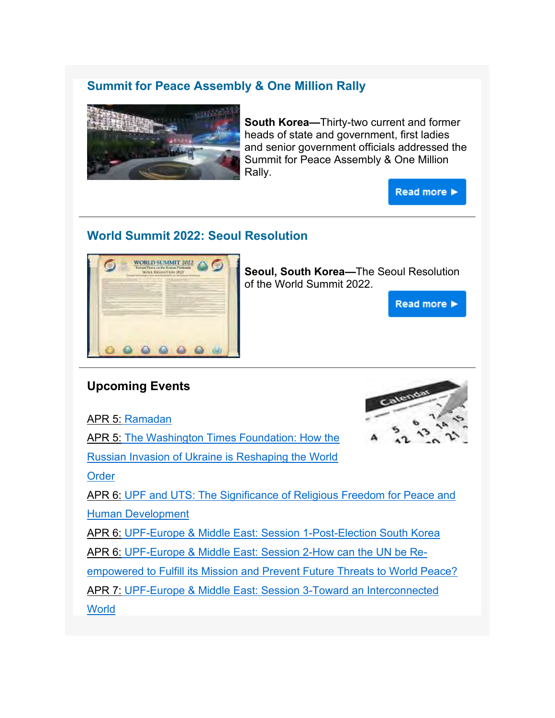# **Summit for Peace Assembly & One Million Rally**



**South Korea—**Thirty-two current and former heads of state and government, first ladies and senior government officials addressed the Summit for Peace Assembly & One Million Rally.

Read more >

# **World Summit 2022: Seoul Resolution**



**Seoul, South Korea—**The Seoul Resolution of the World Summit 2022.

Read more >

# **Upcoming Events**

APR 5: Ramadan

APR 5: The Washington Times Foundation: How the

Russian Invasion of Ukraine is Reshaping the World

**Order** 

APR 6: UPF and UTS: The Significance of Religious Freedom for Peace and Human Development

APR 6: UPF-Europe & Middle East: Session 1-Post-Election South Korea

APR 6: UPF-Europe & Middle East: Session 2-How can the UN be Re-

empowered to Fulfill its Mission and Prevent Future Threats to World Peace?

APR 7: UPF-Europe & Middle East: Session 3-Toward an Interconnected

**World**